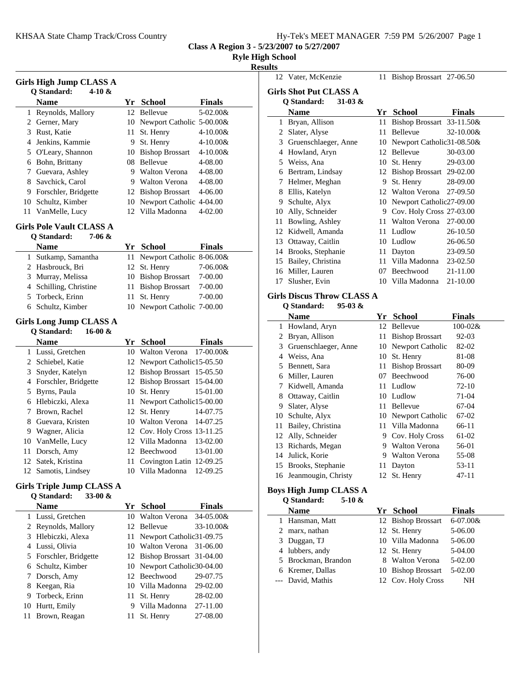|  | Hy-Tek's MEET MANAGER 7:59 PM 5/26/2007 Page 1 |  |  |
|--|------------------------------------------------|--|--|
|  |                                                |  |  |

11 Bishop Brossart  $27-06.50$ 

**Class A Region 3 - 5/23/2007 to 5/27/2007**

**Girls Shot Put CLASS A**

## **Ryle High School**

## **Results**<br>
12 Vater, McKenzie

|        | Girls High Jump CLASS A          |          |                                          |                           |
|--------|----------------------------------|----------|------------------------------------------|---------------------------|
|        | Q Standard:<br>4-10 $\&$         |          |                                          |                           |
|        | <b>Name</b>                      |          | Yr School                                | <b>Finals</b>             |
| 1      | Reynolds, Mallory                |          | 12 Bellevue                              | 5-02.00&                  |
| 3      | 2 Gerner, Mary                   |          | 10 Newport Catholic 5-00.00&             |                           |
| 4      | Rust, Katie<br>Jenkins, Kammie   | 11       | St. Henry<br>9 St. Henry                 | 4-10.00&<br>$4 - 10.00 &$ |
| 5      | O'Leary, Shannon                 |          | 10 Bishop Brossart                       | 4-10.00&                  |
| 6      | Bohn, Brittany                   |          | 08 Bellevue                              | 4-08.00                   |
| 7      | Guevara, Ashley                  |          | 9 Walton Verona                          | 4-08.00                   |
| 8      | Savchick, Carol                  |          | 9 Walton Verona                          | 4-08.00                   |
| 9      | Forschler, Bridgette             |          | 12 Bishop Brossart                       | 4-06.00                   |
| 10     | Schultz, Kimber                  |          | 10 Newport Catholic 4-04.00              |                           |
| 11     | VanMelle, Lucy                   |          | 12 Villa Madonna                         | 4-02.00                   |
|        | <b>Girls Pole Vault CLASS A</b>  |          |                                          |                           |
|        | Q Standard:<br>7-06 &            |          |                                          |                           |
|        | Name                             |          | Yr School                                | <b>Finals</b>             |
| 1      | Sutkamp, Samantha                | 11       | Newport Catholic 8-06.00&                |                           |
|        | 2 Hasbrouck, Bri                 | 12       | St. Henry                                | 7-06.00&                  |
| 3      | Murray, Melissa                  |          | 10 Bishop Brossart                       | 7-00.00                   |
| 4      | Schilling, Christine             | 11       | <b>Bishop Brossart</b>                   | 7-00.00                   |
| 5      | Torbeck, Erinn                   | 11       | St. Henry                                | 7-00.00                   |
|        | 6 Schultz, Kimber                | 10       | Newport Catholic 7-00.00                 |                           |
|        | <b>Girls Long Jump CLASS A</b>   |          |                                          |                           |
|        | Q Standard:<br>$16-00 &$         |          |                                          |                           |
|        | <b>Name</b>                      |          | Yr School                                | Finals                    |
| 1      | Lussi, Gretchen                  |          | 10 Walton Verona                         | 17-00.00&                 |
| 2      | Schiebel, Katie                  |          | 12 Newport Catholic15-05.50              |                           |
| 3      | Snyder, Katelyn                  |          | 12 Bishop Brossart 15-05.50              |                           |
| 4<br>5 | Forschler, Bridgette             |          | 12 Bishop Brossart 15-04.00<br>St. Henry | 15-01.00                  |
| 6      | Byrns, Paula<br>Hlebiczki, Alexa | 10<br>11 | Newport Catholic15-00.00                 |                           |
| 7      | Brown, Rachel                    |          | 12 St. Henry                             | 14-07.75                  |
| 8      | Guevara, Kristen                 |          | 10 Walton Verona                         | 14-07.25                  |
| 9      | Wagner, Alicia                   |          | 12 Cov. Holy Cross 13-11.25              |                           |
| 10     | VanMelle, Lucy                   |          | 12 Villa Madonna                         | 13-02.00                  |
| 11     | Dorsch, Amy                      |          | 12 Beechwood                             | 13-01.00                  |
| 12     | Satek, Kristina                  |          | 11 Covington Latin 12-09.25              |                           |
| 12     | Samotis, Lindsey                 |          | 10 Villa Madonna                         | 12-09.25                  |
|        | <b>Girls Triple Jump CLASS A</b> |          |                                          |                           |
|        | Q Standard:<br>33-00 $\&$        |          |                                          |                           |
|        | <b>Name</b>                      |          | Yr School                                | <b>Finals</b>             |
|        | 1 Lussi, Gretchen                |          | 10 Walton Verona                         | 34-05.00&                 |
| 2      | Reynolds, Mallory                |          | 12 Bellevue                              | 33-10.00&                 |
| 3      | Hlebiczki, Alexa                 | 11       | Newport Catholic31-09.75                 |                           |
| 4      | Lussi, Olivia                    |          | 10 Walton Verona                         | 31-06.00                  |
| 5      | Forschler, Bridgette             |          | 12 Bishop Brossart                       | 31-04.00                  |
| 6      | Schultz, Kimber                  | 10       | Newport Catholic30-04.00                 |                           |
| 7      | Dorsch, Amy                      | 12       | Beechwood                                | 29-07.75                  |
| 8      | Keegan, Ria                      |          | 10 Villa Madonna                         | 29-02.00                  |
| 9      | Torbeck, Erinn                   | 11       | St. Henry                                | 28-02.00                  |
| 10     | Hurtt, Emily                     |          | 9 Villa Madonna                          | 27-11.00                  |
| 11     | Brown, Reagan                    |          | 11 St. Henry                             | 27-08.00                  |

|      | Q Standard:<br>$31-03 &$                |    |                                    |               |
|------|-----------------------------------------|----|------------------------------------|---------------|
|      | <b>Name</b>                             |    | Yr School                          | <b>Finals</b> |
|      | 1 Bryan, Allison                        |    | 11 Bishop Brossart 33-11.50&       |               |
|      | 2 Slater, Alyse                         |    | 11 Bellevue                        | 32-10.00&     |
|      | 3 Gruenschlaeger, Anne                  |    | 10 Newport Catholic31-08.50&       |               |
|      | 4 Howland, Aryn                         |    | 12 Bellevue                        | 30-03.00      |
|      | 5 Weiss, Ana                            |    | 10 St. Henry                       | 29-03.00      |
|      | 6 Bertram, Lindsay                      |    | 12 Bishop Brossart 29-02.00        |               |
|      | 7 Helmer, Meghan                        |    | 9 St. Henry                        | 28-09.00      |
|      | 8 Ellis, Katelyn                        |    | 12 Walton Verona                   | 27-09.50      |
|      | 9 Schulte, Alyx                         |    | 10 Newport Catholic27-09.00        |               |
|      | 10 Ally, Schneider                      |    | 9 Cov. Holy Cross 27-03.00         |               |
| 11 - | Bowling, Ashley                         |    | 11 Walton Verona                   | 27-00.00      |
|      | 12 Kidwell, Amanda                      |    | 11 Ludlow                          | 26-10.50      |
|      | 13 Ottaway, Caitlin                     |    | 10 Ludlow                          | 26-06.50      |
|      | 14 Brooks, Stephanie                    |    | 11 Dayton                          | 23-09.50      |
|      | 15 Bailey, Christina                    |    | 11 Villa Madonna                   | 23-02.50      |
|      | 16 Miller, Lauren                       |    | 07 Beechwood                       | 21-11.00      |
| 17   | Slusher, Evin                           |    | 10 Villa Madonna                   | 21-10.00      |
|      | <b>Girls Discus Throw CLASS A</b>       |    |                                    |               |
|      | Q Standard:<br>$95-03 &$                |    |                                    |               |
|      | <b>Name</b>                             |    | Yr School                          | <b>Finals</b> |
|      | 1 Howland, Aryn                         |    | 12 Bellevue                        | 100-02&       |
|      | 2 Bryan, Allison                        |    | 11 Bishop Brossart                 | 92-03         |
|      | 3 Gruenschlaeger, Anne                  |    | 10 Newport Catholic                | 82-02         |
|      | 4 Weiss, Ana                            |    | 10 St. Henry                       | 81-08         |
|      | 5 Bennett, Sara                         |    |                                    |               |
|      |                                         |    |                                    | 80-09         |
|      | 6 Miller, Lauren                        |    | 11 Bishop Brossart<br>07 Beechwood | 76-00         |
|      | 7 Kidwell, Amanda                       |    | 11 Ludlow                          | 72-10         |
|      | 8 Ottaway, Caitlin                      |    | 10 Ludlow                          | 71-04         |
|      |                                         |    | 11 Bellevue                        | 67-04         |
|      | 9 Slater, Alyse                         |    | 10 Newport Catholic                | 67-02         |
| 11   | 10 Schulte, Alyx                        |    | 11 Villa Madonna                   | 66-11         |
|      | Bailey, Christina<br>12 Ally, Schneider |    | 9 Cov. Holy Cross                  | 61-02         |
|      | 13 Richards, Megan                      |    | 9 Walton Verona                    | 56-01         |
|      | 14 Julick, Korie                        |    | 9 Walton Verona                    | 55-08         |
|      | 15 Brooks, Stephanie                    | 11 | Dayton                             | 53-11         |
|      | 16 Jeanmougin, Christy                  |    | 12 St. Henry                       | 47-11         |

| 5-10 $\&$<br>O Standard:     |    |                    |               |
|------------------------------|----|--------------------|---------------|
| <b>Name</b>                  |    | Yr School          | <b>Finals</b> |
| 1 Hansman, Matt              |    | 12 Bishop Brossart | $6 - 07.00 &$ |
| marx, nathan<br>$\mathbf{Z}$ |    | 12 St. Henry       | 5-06.00       |
| Duggan, TJ<br>3.             |    | 10 Villa Madonna   | 5-06.00       |
| 4 lubbers, andy              |    | 12 St. Henry       | 5-04.00       |
| 5 Brockman, Brandon          | 8. | Walton Verona      | 5-02.00       |
| 6 Kremer, Dallas             |    | 10 Bishop Brossart | $5-02.00$     |
| --- David, Mathis            |    | 12 Cov. Holy Cross | NH            |